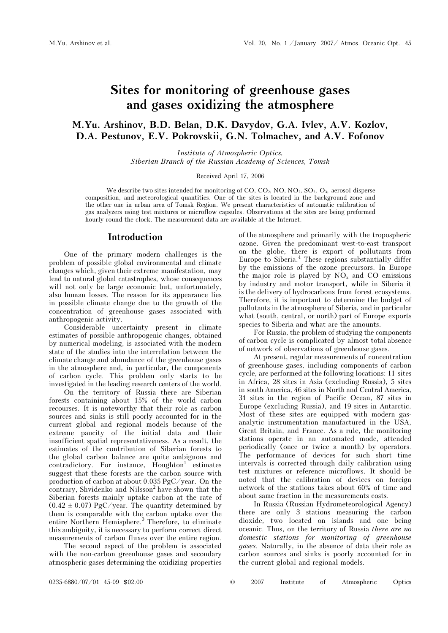# Sites for monitoring of greenhouse gases and gases oxidizing the atmosphere

# M.Yu. Arshinov, B.D. Belan, D.K. Davydov, G.A. Ivlev, A.V. Kozlov, D.A. Pestunov, E.V. Pokrovskii, G.N. Tolmachev, and A.V. Fofonov

Institute of Atmospheric Optics, Siberian Branch of the Russian Academy of Sciences, Tomsk

Received April 17, 2006

We describe two sites intended for monitoring of  $CO$ ,  $CO<sub>2</sub>$ ,  $NO<sub>2</sub>$ ,  $SO<sub>2</sub>$ ,  $O<sub>3</sub>$ , aerosol disperse composition, and meteorological quantities. One of the sites is located in the background zone and the other one in urban area of Tomsk Region. We present characteristics of automatic calibration of gas analyzers using test mixtures or microflow capsules. Observations at the sites are being preformed hourly round the clock. The measurement data are available at the Internet.

#### Introduction

One of the primary modern challenges is the problem of possible global environmental and climate changes which, given their extreme manifestation, may lead to natural global catastrophes, whose consequences will not only be large economic but, unfortunately, also human losses. The reason for its appearance lies in possible climate change due to the growth of the concentration of greenhouse gases associated with anthropogenic activity.

Considerable uncertainty present in climate estimates of possible anthropogenic changes, obtained by numerical modeling, is associated with the modern state of the studies into the interrelation between the climate change and abundance of the greenhouse gases in the atmosphere and, in particular, the components of carbon cycle. This problem only starts to be investigated in the leading research centers of the world.

 On the territory of Russia there are Siberian forests containing about 15% of the world carbon recourses. It is noteworthy that their role as carbon sources and sinks is still poorly accounted for in the current global and regional models because of the extreme paucity of the initial data and their insufficient spatial representativeness. As a result, the estimates of the contribution of Siberian forests to the global carbon balance are quite ambiguous and  $contradictory.$  For instance,  $Houghton<sup>1</sup>$  estimates suggest that these forests are the carbon source with production of carbon at about 0.035 PgC/year. On the contrary, Shvidenko and Nilsson<sup>2</sup> have shown that the Siberian forests mainly uptake carbon at the rate of  $(0.42 \pm 0.07)$  PgC/year. The quantity determined by them is comparable with the carbon uptake over the entire Northern Hemisphere.<sup>3</sup> Therefore, to eliminate this ambiguity, it is necessary to perform correct direct measurements of carbon fluxes over the entire region.

 The second aspect of the problem is associated with the non-carbon greenhouse gases and secondary atmospheric gases determining the oxidizing properties of the atmosphere and primarily with the tropospheric ozone. Given the predominant west-to-east transport on the globe, there is export of pollutants from Europe to Siberia.<sup>4</sup> These regions substantially differ by the emissions of the ozone precursors. In Europe the major role is played by  $NO<sub>x</sub>$  and CO emissions by industry and motor transport, while in Siberia it is the delivery of hydrocarbons from forest ecosystems. Therefore, it is important to determine the budget of pollutants in the atmosphere of Siberia, and in particular what (south, central, or north) part of Europe exports species to Siberia and what are the amounts.

For Russia, the problem of studying the components of carbon cycle is complicated by almost total absence of network of observations of greenhouse gases.

At present, regular measurements of concentration of greenhouse gases, including components of carbon cycle, are performed at the following locations: 11 sites in Africa, 28 sites in Asia (excluding Russia), 5 sites in south America, 46 sites in North and Central America, 31 sites in the region of Pacific Ocean, 87 sites in Europe (excluding Russia), and 19 sites in Antarctic. Most of these sites are equipped with modern gasanalytic instrumentation manufactured in the USA, Great Britain, and France. As a rule, the monitoring stations operate in an automated mode, attended periodically (once or twice a month) by operators. The performance of devices for such short time intervals is corrected through daily calibration using test mixtures or reference microflows. It should be noted that the calibration of devices on foreign network of the stations takes about 60% of time and about same fraction in the measurements costs.

In Russia (Russian Hydrometeorological Agency) there are only 3 stations measuring the carbon dioxide, two located on islands and one being oceanic. Thus, on the territory of Russia there are no domestic stations for monitoring of greenhouse gases. Naturally, in the absence of data their role as carbon sources and sinks is poorly accounted for in the current global and regional models.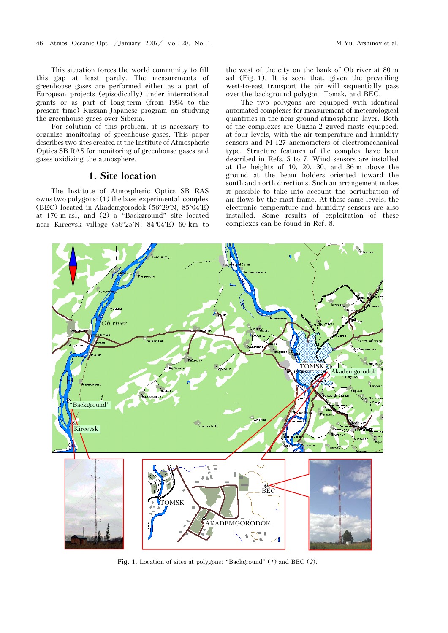This situation forces the world community to fill this gap at least partly. The measurements of greenhouse gases are performed either as a part of European projects (episodically) under international grants or as part of long-term (from 1994 to the present time) Russian-Japanese program on studying the greenhouse gases over Siberia.

For solution of this problem, it is necessary to organize monitoring of greenhouse gases. This paper describes two sites created at the Institute of Atmospheric Optics SB RAS for monitoring of greenhouse gases and gases oxidizing the atmosphere.

### 1. Site location

The Institute of Atmospheric Optics SB RAS owns two polygons: (1) the base experimental complex (BEC) located in Akademgorodok (56°29′N, 85°04′E) at 170 m asl, and (2) a "Background" site located near Kireevsk village (56°25′N, 84°04′E) 60 km to the west of the city on the bank of Ob river at 80 m asl (Fig. 1). It is seen that, given the prevailing west-to-east transport the air will sequentially pass over the background polygon, Tomsk, and BEC.

The two polygons are equipped with identical automated complexes for measurement of meteorological quantities in the near-ground atmospheric layer. Both of the complexes are Unzha-2 guyed masts equipped, at four levels, with the air temperature and humidity sensors and M-127 anemometers of electromechanical type. Structure features of the complex have been described in Refs. 5 to 7. Wind sensors are installed at the heights of 10, 20, 30, and 36 m above the ground at the beam holders oriented toward the south and north directions. Such an arrangement makes it possible to take into account the perturbation of air flows by the mast frame. At these same levels, the electronic temperature and humidity sensors are also installed. Some results of exploitation of these complexes can be found in Ref. 8.



Fig. 1. Location of sites at polygons: "Background" (1) and BEC (2).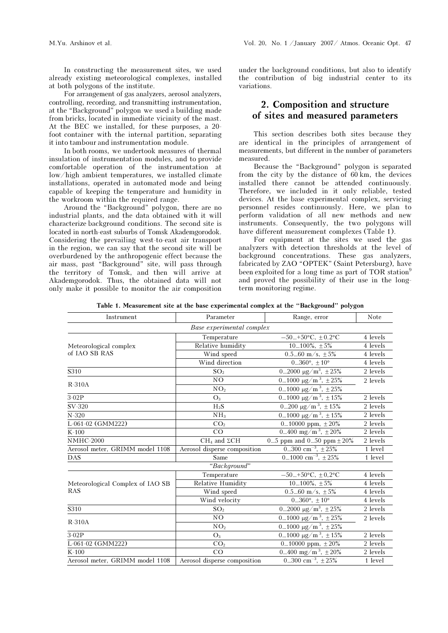In constructing the measurement sites, we used already existing meteorological complexes, installed at both polygons of the institute.

For arrangement of gas analyzers, aerosol analyzers, controlling, recording, and transmitting instrumentation, at the "Background" polygon we used a building made from bricks, located in immediate vicinity of the mast. At the BEC we installed, for these purposes, a 20 foot container with the internal partition, separating it into tambour and instrumentation module.

In both rooms, we undertook measures of thermal insulation of instrumentation modules, and to provide comfortable operation of the instrumentation at low/high ambient temperatures, we installed climate installations, operated in automated mode and being capable of keeping the temperature and humidity in the workroom within the required range.

Around the "Background" polygon, there are no industrial plants, and the data obtained with it will characterize background conditions. The second site is located in north-east suburbs of Tomsk Akademgorodok. Considering the prevailing west-to-east air transport in the region, we can say that the second site will be overburdened by the anthropogenic effect because the air mass, past "Background" site, will pass through the territory of Tomsk, and then will arrive at Akademgorodok. Thus, the obtained data will not only make it possible to monitor the air composition

under the background conditions, but also to identify the contribution of big industrial center to its variations.

### 2. Composition and structure of sites and measured parameters

This section describes both sites because they are identical in the principles of arrangement of measurements, but different in the number of parameters measured.

Because the "Background" polygon is separated from the city by the distance of 60 km, the devices installed there cannot be attended continuously. Therefore, we included in it only reliable, tested devices. At the base experimental complex, servicing personnel resides continuously. Here, we plan to perform validation of all new methods and new instruments. Consequently, the two polygons will have different measurement complexes (Table 1).

For equipment at the sites we used the gas analyzers with detection thresholds at the level of background concentrations. These gas analyzers, fabricated by ZAO "OPTEK" (Saint Petersburg), have been exploited for a long time as part of TOR station<sup>9</sup> and proved the possibility of their use in the longterm monitoring regime.

Table 1. Measurement site at the base experimental complex at the "Background" polygon

| Instrument                       | Parameter                                      | Range, error                        | Note     |
|----------------------------------|------------------------------------------------|-------------------------------------|----------|
|                                  | Base experimental complex                      |                                     |          |
|                                  | Temperature                                    | $-50+50$ °C, $\pm 0.2$ °C           | 4 levels |
| Meteorological complex           | Relative humidity                              | $10100\%$ , $\pm 5\%$               | 4 levels |
| of IAO SB RAS                    | Wind speed                                     | 0.560 m/s, $\pm$ 5%                 | 4 levels |
|                                  | Wind direction                                 | $0360^{\circ}$ , $\pm 10^{\circ}$   | 4 levels |
| S310                             | $02000 \mu g/m^3$ , $± 25%$<br>SO <sub>2</sub> |                                     | 2 levels |
|                                  | N <sub>O</sub>                                 | $01000 \mu g/m^3$ , $\pm 25%$       | 2 levels |
| $R-310A$                         | NO <sub>2</sub>                                | $01000 \mu g/m^3$ , $± 25%$         |          |
| $3-02P$                          | $O_3$                                          | $01000 \mu g/m^3$ , $\pm 15\%$      | 2 levels |
| SV-320                           | $H_2S$                                         | $0200 \mu g/m^3$ , $\pm 15\%$       | 2 levels |
| $N-320$                          | NH <sub>3</sub>                                | $01000 \mu g/m^3$ , $\pm 15\%$      | 2 levels |
| L-061-02 (GMM222)                | CO <sub>2</sub>                                | 010000 ppm, $\pm 20\%$              | 2 levels |
| $K-100$                          | CO                                             | 0400 mg/m <sup>3</sup> , $\pm 20\%$ | 2 levels |
| $NMHC-2000$                      | $CH4$ and $\Sigma CH$                          | 05 ppm and 050 ppm $\pm 20\%$       | 2 levels |
| Aerosol meter, GRIMM model 1108  | Aerosol disperse composition                   | 0300 $cm^{-3}$ , $\pm 25\%$         | 1 level  |
| <b>DAS</b>                       | Same                                           | 01000 cm <sup>-3</sup> , $\pm 25\%$ | 1 level  |
|                                  | "Background"                                   |                                     |          |
|                                  | Temperature                                    | $-50+50$ °C, $\pm 0.2$ °C           | 4 levels |
| Meteorological Complex of IAO SB | <b>Relative Humidity</b>                       | $10100\%, \pm 5\%$                  | 4 levels |
| <b>RAS</b>                       | Wind speed<br>0.560 m/s, $\pm$ 5%              |                                     | 4 levels |
|                                  | Wind velocity                                  | $0360^{\circ}, \pm 10^{\circ}$      | 4 levels |
| S310                             | SO <sub>2</sub>                                | $02000 \mu g/m^3$ , $± 25%$         | 2 levels |
| $R-310A$                         | N <sub>O</sub>                                 | $01000 \mu g/m^3$ , ± 25%           | 2 levels |
|                                  | NO <sub>2</sub>                                | 01000 $\mu\text{g/m}^3$ , ±25%      |          |
| $3-02P$                          | $O_3$                                          | $01000 \mu g/m^3$ , $\pm 15\%$      | 2 levels |
| L-061-02 (GMM222)                | CO <sub>2</sub>                                | 010000 ppm, $\pm 20\%$              | 2 levels |
| $K-100$                          | CO                                             | 0400 mg/m <sup>3</sup> , $\pm 20\%$ | 2 levels |
| Aerosol meter, GRIMM model 1108  | Aerosol disperse composition                   | 0300 cm <sup>-3</sup> , $\pm 25\%$  | 1 level  |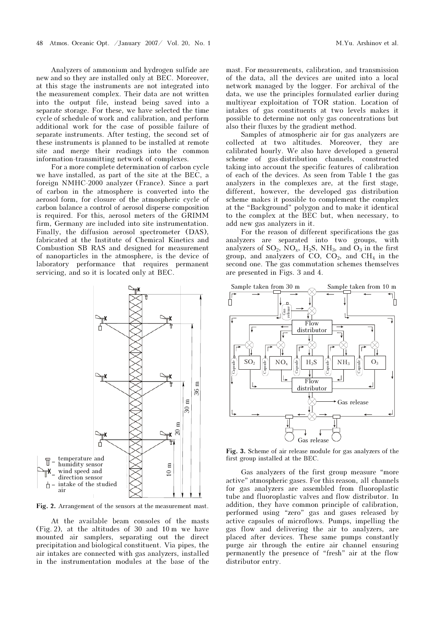Analyzers of ammonium and hydrogen sulfide are new and so they are installed only at BEC. Moreover, at this stage the instruments are not integrated into the measurement complex. Their data are not written into the output file, instead being saved into a separate storage. For these, we have selected the time cycle of schedule of work and calibration, and perform additional work for the case of possible failure of separate instruments. After testing, the second set of these instruments is planned to be installed at remote site and merge their readings into the common information-transmitting network of complexes.

For a more complete determination of carbon cycle we have installed, as part of the site at the BEC, a foreign NMHC-2000 analyzer (France). Since a part of carbon in the atmosphere is converted into the aerosol form, for closure of the atmospheric cycle of carbon balance a control of aerosol disperse composition is required. For this, aerosol meters of the GRIMM firm, Germany are included into site instrumentation. Finally, the diffusion aerosol spectrometer (DAS), fabricated at the Institute of Chemical Kinetics and Combustion SB RAS and designed for measurement of nanoparticles in the atmosphere, is the device of laboratory performance that requires permanent servicing, and so it is located only at BEC.



Fig. 2. Arrangement of the sensors at the measurement mast.

At the available beam consoles of the masts (Fig. 2), at the altitudes of 30 and 10 m we have mounted air samplers, separating out the direct precipitation and biological constituent. Via pipes, the air intakes are connected with gas analyzers, installed in the instrumentation modules at the base of the

mast. For measurements, calibration, and transmission of the data, all the devices are united into a local network managed by the logger. For archival of the data, we use the principles formulated earlier during multiyear exploitation of TOR station. Location of intakes of gas constituents at two levels makes it possible to determine not only gas concentrations but also their fluxes by the gradient method.

Samples of atmospheric air for gas analyzers are collected at two altitudes. Moreover, they are calibrated hourly. We also have developed a general scheme of gas-distribution channels, constructed taking into account the specific features of calibration of each of the devices. As seen from Table 1 the gas analyzers in the complexes are, at the first stage, different, however, the developed gas distribution scheme makes it possible to complement the complex at the "Background" polygon and to make it identical to the complex at the BEC but, when necessary, to add new gas analyzers in it.

For the reason of different specifications the gas analyzers are separated into two groups, with analyzers of  $SO_2$ ,  $NO_x$ ,  $H_2S$ ,  $NH_3$ , and  $O_3$  in the first group, and analyzers of CO,  $CO<sub>2</sub>$ , and  $CH<sub>4</sub>$  in the second one. The gas commutation schemes themselves are presented in Figs. 3 and 4.



Fig. 3. Scheme of air release module for gas analyzers of the first group installed at the BEC.

Gas analyzers of the first group measure "more active" atmospheric gases. For this reason, all channels for gas analyzers are assembled from fluoroplastic tube and fluoroplastic valves and flow distributor. In addition, they have common principle of calibration, performed using "zero" gas and gases released by active capsules of microflows. Pumps, impelling the gas flow and delivering the air to analyzers, are placed after devices. These same pumps constantly purge air through the entire air channel ensuring permanently the presence of "fresh" air at the flow distributor entry.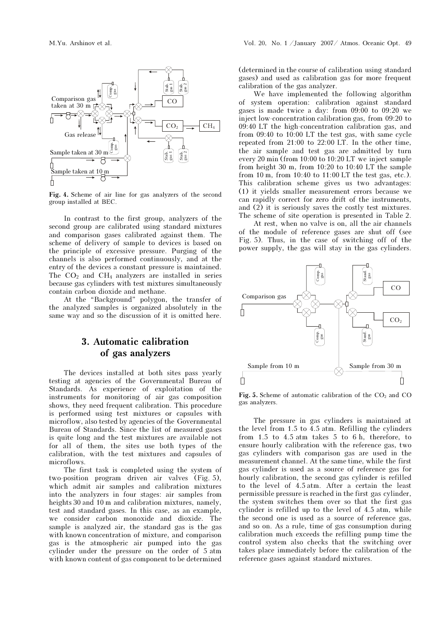

Fig. 4. Scheme of air line for gas analyzers of the second group installed at BEC.

In contrast to the first group, analyzers of the second group are calibrated using standard mixtures and comparison gases calibrated against them. The scheme of delivery of sample to devices is based on the principle of excessive pressure. Purging of the channels is also performed continuously, and at the entry of the devices a constant pressure is maintained. The  $CO<sub>2</sub>$  and  $CH<sub>4</sub>$  analyzers are installed in series because gas cylinders with test mixtures simultaneously contain carbon dioxide and methane.

At the "Background" polygon, the transfer of the analyzed samples is organized absolutely in the same way and so the discussion of it is omitted here.

# 3. Automatic calibration of gas analyzers

The devices installed at both sites pass yearly testing at agencies of the Governmental Bureau of Standards. As experience of exploitation of the instruments for monitoring of air gas composition shows, they need frequent calibration. This procedure is performed using test mixtures or capsules with microflow, also tested by agencies of the Governmental Bureau of Standards. Since the list of measured gases is quite long and the test mixtures are available not for all of them, the sites use both types of the calibration, with the test mixtures and capsules of microflows.

The first task is completed using the system of two-position program driven air valves (Fig. 5), which admit air samples and calibration mixtures into the analyzers in four stages: air samples from heights 30 and 10 m and calibration mixtures, namely, test and standard gases. In this case, as an example, we consider carbon monoxide and dioxide. The sample is analyzed air, the standard gas is the gas with known concentration of mixture, and comparison gas is the atmospheric air pumped into the gas cylinder under the pressure on the order of 5 atm with known content of gas component to be determined

(determined in the course of calibration using standard gases) and used as calibration gas for more frequent calibration of the gas analyzer.

We have implemented the following algorithm of system operation: calibration against standard gases is made twice a day: from 09:00 to 09:20 we inject low-concentration calibration gas, from 09:20 to 09:40 LT the high-concentration calibration gas, and from 09:40 to 10:00 LT the test gas, with same cycle repeated from 21:00 to 22:00 LT. In the other time, the air sample and test gas are admitted by turn every 20 min (from 10:00 to 10:20 LT we inject sample from height 30 m, from 10:20 to 10:40 LT the sample from 10 m, from 10:40 to 11:00 LT the test gas, etc.). This calibration scheme gives us two advantages: (1) it yields smaller measurement errors because we can rapidly correct for zero drift of the instruments, and (2) it is seriously saves the costly test mixtures. The scheme of site operation is presented in Table 2.

 At rest, when no valve is on, all the air channels of the module of reference gases are shut off (see Fig. 5). Thus, in the case of switching off of the power supply, the gas will stay in the gas cylinders.



Fig. 5. Scheme of automatic calibration of the  $CO<sub>2</sub>$  and  $CO<sub>2</sub>$ gas analyzers.

The pressure in gas cylinders is maintained at the level from 1.5 to 4.5 atm. Refilling the cylinders from 1.5 to 4.5 atm takes 5 to 6 h, therefore, to ensure hourly calibration with the reference gas, two gas cylinders with comparison gas are used in the measurement channel. At the same time, while the first gas cylinder is used as a source of reference gas for hourly calibration, the second gas cylinder is refilled to the level of 4.5 atm. After a certain the least permissible pressure is reached in the first gas cylinder, the system switches them over so that the first gas cylinder is refilled up to the level of 4.5 atm, while the second one is used as a source of reference gas, and so on. As a rule, time of gas consumption during calibration much exceeds the refilling pump time the control system also checks that the switching over takes place immediately before the calibration of the reference gases against standard mixtures.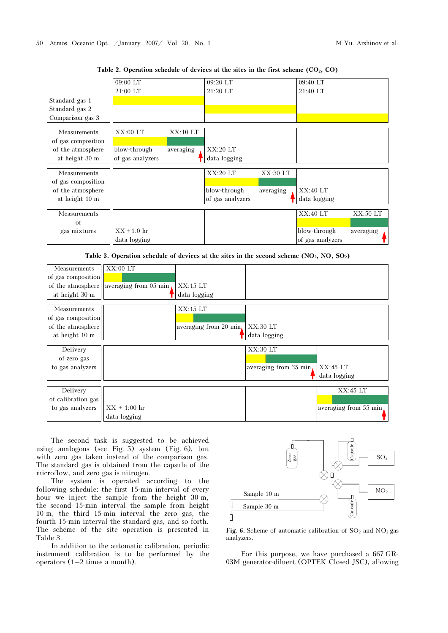|                    | 09:00 LT         |           | 09:20 LT         |           | 09:40 LT         |           |
|--------------------|------------------|-----------|------------------|-----------|------------------|-----------|
|                    | 21:00 LT         |           | 21:20 LT         |           | 21:40 LT         |           |
| Standard gas 1     |                  |           |                  |           |                  |           |
| Standard gas 2     |                  |           |                  |           |                  |           |
| Comparison gas 3   |                  |           |                  |           |                  |           |
| Measurements       | XX:00LT          | XX:10LT   |                  |           |                  |           |
| of gas composition |                  |           |                  |           |                  |           |
| of the atmosphere  | blow-through     | averaging | XX:20LT          |           |                  |           |
| at height 30 m     | of gas analyzers |           | data logging     |           |                  |           |
| Measurements       |                  |           | XX:20LT          | XX:30 LT  |                  |           |
| of gas composition |                  |           |                  |           |                  |           |
| of the atmosphere  |                  |           | blow-through     | averaging | XX:40LT          |           |
| at height 10 m     |                  |           | of gas analyzers |           | data logging     |           |
|                    |                  |           |                  |           |                  |           |
| Measurements       |                  |           |                  |           | XX:40LT          | XX:50 LT  |
| of                 |                  |           |                  |           |                  |           |
| gas mixtures       | $XX + 1.0$ hr    |           |                  |           | blow-through     | averaging |
|                    | data logging     |           |                  |           | of gas analyzers |           |

Table 2. Operation schedule of devices at the sites in the first scheme  $(CO_2, CO)$ 

Table 3. Operation schedule of devices at the sites in the second scheme  $(NO_2, NO, SO_2)$ 

| Measurements       | $XX:00$ LT            |                        |                        |                       |
|--------------------|-----------------------|------------------------|------------------------|-----------------------|
| of gas composition |                       |                        |                        |                       |
| of the atmosphere  | averaging from 05 min | XX:15LT                |                        |                       |
| at height 30 m     |                       | data logging           |                        |                       |
| Measurements       |                       | XX:15LT                |                        |                       |
| of gas composition |                       |                        |                        |                       |
| of the atmosphere  |                       | averaging from 20 min. | XX:30LT                |                       |
| at height 10 m     |                       |                        | data logging           |                       |
|                    |                       |                        |                        |                       |
| Delivery           |                       |                        | XX:30LT                |                       |
| of zero gas        |                       |                        |                        |                       |
| to gas analyzers   |                       |                        | averaging from 35 min. | XX:45LT               |
|                    |                       |                        |                        | data logging          |
| Delivery           |                       |                        |                        | XX:45LT               |
| of calibration gas |                       |                        |                        |                       |
| to gas analyzers   | $XX + 1:00$ hr        |                        |                        | averaging from 55 min |
|                    | data logging          |                        |                        |                       |

The second task is suggested to be achieved using analogous (see Fig. 5) system (Fig. 6), but with zero gas taken instead of the comparison gas. The standard gas is obtained from the capsule of the microflow, and zero gas is nitrogen.

The system is operated according to the following schedule: the first 15-min interval of every hour we inject the sample from the height 30 m, the second 15-min interval the sample from height 10 m, the third 15-min interval the zero gas, the fourth 15-min interval the standard gas, and so forth. The scheme of the site operation is presented in Table 3.

In addition to the automatic calibration, periodic instrument calibration is to be performed by the operators (1–2 times a month).



Fig. 6. Scheme of automatic calibration of  $SO_2$  and  $NO_2$  gas analyzers.

For this purpose, we have purchased a 667 GR-03M generator-diluent (OPTEK Closed JSC), allowing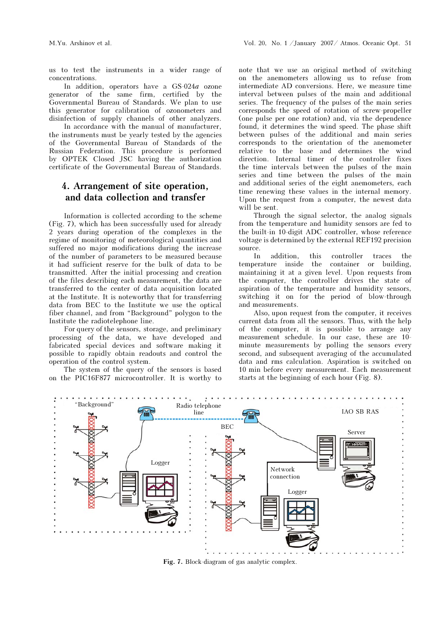us to test the instruments in a wider range of concentrations.

In addition, operators have a  $GS-024a$  ozone generator of the same firm, certified by the Governmental Bureau of Standards. We plan to use this generator for calibration of ozonometers and disinfection of supply channels of other analyzers.

 In accordance with the manual of manufacturer, the instruments must be yearly tested by the agencies of the Governmental Bureau of Standards of the Russian Federation. This procedure is performed by OPTEK Closed JSC having the authorization certificate of the Governmental Bureau of Standards.

# 4. Arrangement of site operation, and data collection and transfer

Information is collected according to the scheme (Fig. 7), which has been successfully used for already 2 years during operation of the complexes in the regime of monitoring of meteorological quantities and suffered no major modifications during the increase of the number of parameters to be measured because it had sufficient reserve for the bulk of data to be transmitted. After the initial processing and creation of the files describing each measurement, the data are transferred to the center of data acquisition located at the Institute. It is noteworthy that for transferring data from BEC to the Institute we use the optical fiber channel, and from "Background" polygon to the Institute the radiotelephone line.

For query of the sensors, storage, and preliminary processing of the data, we have developed and fabricated special devices and software making it possible to rapidly obtain readouts and control the operation of the control system.

The system of the query of the sensors is based on the PIC16F877 microcontroller. It is worthy to note that we use an original method of switching on the anemometers allowing us to refuse from intermediate AD conversions. Here, we measure time interval between pulses of the main and additional series. The frequency of the pulses of the main series corresponds the speed of rotation of screw-propeller (one pulse per one rotation) and, via the dependence found, it determines the wind speed. The phase shift between pulses of the additional and main series corresponds to the orientation of the anemometer relative to the base and determines the wind direction. Internal timer of the controller fixes the time intervals between the pulses of the main series and time between the pulses of the main and additional series of the eight anemometers, each time renewing these values in the internal memory. Upon the request from a computer, the newest data will be sent.

Through the signal selector, the analog signals from the temperature and humidity sensors are fed to the built-in 10-digit ADC controller, whose reference voltage is determined by the external REF192 precision source.

In addition, this controller traces the temperature inside the container or building, maintaining it at a given level. Upon requests from the computer, the controller drives the state of aspiration of the temperature and humidity sensors, switching it on for the period of blow-through and measurements.

Also, upon request from the computer, it receives current data from all the sensors. Thus, with the help of the computer, it is possible to arrange any measurement schedule. In our case, these are 10 minute measurements by polling the sensors every second, and subsequent averaging of the accumulated data and rms calculation. Aspiration is switched on 10 min before every measurement. Each measurement starts at the beginning of each hour (Fig. 8).



Fig. 7. Block-diagram of gas analytic complex.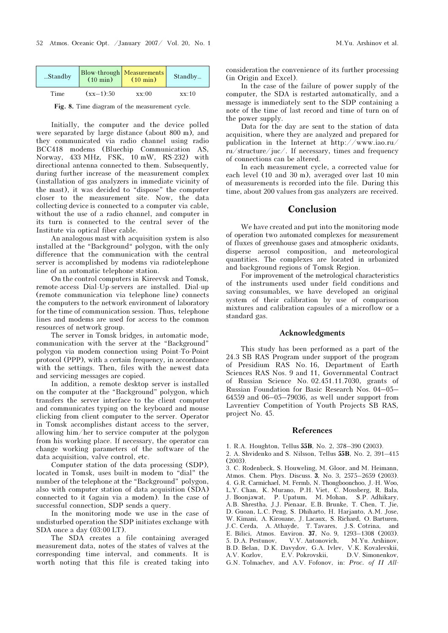| Standby |             | Blow-through Measurements<br>(10 min) (10 min) | Standby |
|---------|-------------|------------------------------------------------|---------|
| Time    | $(xx-1):50$ | xx:00                                          | xx:10   |

Fig. 8. Time diagram of the measurement cycle.

Initially, the computer and the device polled were separated by large distance (about 800 m), and they communicated via radio channel using radio BCC418 modems (Bluechip Communication AS, Norway, 433 MHz, FSK, 10 mW, RS-232) with directional antenna connected to them. Subsequently, during further increase of the measurement complex (installation of gas analyzers in immediate vicinity of the mast), it was decided to "dispose" the computer closer to the measurement site. Now, the data collecting device is connected to a computer via cable, without the use of a radio channel, and computer in its turn is connected to the central sever of the Institute via optical fiber cable.

An analogous mast with acquisition system is also installed at the "Background" polygon, with the only difference that the communication with the central server is accomplished by modems via radiotelephone line of an automatic telephone station.

On the control computers in Kireevsk and Tomsk, remote-access Dial-Up-servers are installed. Dial-up (remote communication via telephone line) connects the computers to the network environment of laboratory for the time of communication session. Thus, telephone lines and modems are used for access to the common resources of network group.

The server in Tomsk bridges, in automatic mode, communication with the server at the "Background" polygon via modem connection using Point-To-Point protocol (PPP), with a certain frequency, in accordance with the settings. Then, files with the newest data and servicing messages are copied.

In addition, a remote desktop server is installed on the computer at the "Background" polygon, which transfers the server interface to the client computer and communicates typing on the keyboard and mouse clicking from client computer to the server. Operator in Tomsk accomplishes distant access to the server, allowing him/her to service computer at the polygon from his working place. If necessary, the operator can change working parameters of the software of the data acquisition, valve control, etc.

Computer station of the data processing (SDP), located in Tomsk, uses built-in modem to "dial" the number of the telephone at the "Background" polygon, also with computer station of data acquisition (SDA) connected to it (again via a modem). In the case of successful connection, SDP sends a query.

In the monitoring mode we use in the case of undisturbed operation the SDP initiates exchange with SDA once a day (03:00 LT).

The SDA creates a file containing averaged measurement data, notes of the states of valves at the corresponding time interval, and comments. It is worth noting that this file is created taking into consideration the convenience of its further processing (in Origin and Excel).

In the case of the failure of power supply of the computer, the SDA is restarted automatically, and a message is immediately sent to the SDP containing a note of the time of last record and time of turn on of the power supply.

Data for the day are sent to the station of data acquisition, where they are analyzed and prepared for publication in the Internet at http://www.iao.ru/ ru/structure/juc/. If necessary, times and frequency of connections can be altered.

In each measurement cycle, a corrected value for each level (10 and 30 m), averaged over last 10 min of measurements is recorded into the file. During this time, about 200 values from gas analyzers are received.

### Conclusion

We have created and put into the monitoring mode of operation two automated complexes for measurement of fluxes of greenhouse gases and atmospheric oxidants, disperse aerosol composition, and meteorological quantities. The complexes are located in urbanized and background regions of Tomsk Region.

For improvement of the metrological characteristics of the instruments used under field conditions and saving consumables, we have developed an original system of their calibration by use of comparison mixtures and calibration capsules of a microflow or a standard gas.

#### Acknowledgments

This study has been performed as a part of the 24.3 SB RAS Program under support of the program of Presidium RAS No. 16, Department of Earth Sciences RAS Nos. 9 and 11, Governmental Contract of Russian Science No. 02.451.11.7030, grants of Russian Foundation for Basic Research Nos. 04–05– 64559 and 06–05–79036, as well under support from Lavrentiev Competition of Youth Projects SB RAS, project No. 45.

#### References

- 1. R.A. Houghton, Tellus 55B, No. 2, 378–390 (2003).
- 2. A. Shvidenko and S. Nilsson, Tellus 55B, No. 2, 391–415 (2003).
- 3. C. Rodenbeck, S. Houweling, M. Gloor, and M. Heimann, Atmos. Chem. Phys. Discuss. 3, No. 3, 2575–2659 (2003). 4. G.R. Carmichael, M. Fermb, N. Thongboonchoo, J.-H. Woo, L.Y. Chan, K. Murano, P.H. Viet, C. Mossberg, R. Bala, J. Boonjawat, P. Upatum, M. Mohan, S.P. Adhikary, A.B. Shrestha, J.J. Pienaar, E.B. Brunke, T. Chen, T. Jie, D. Guoan, L.C. Peng, S. Dhiharto, H. Harjanto, A.M. Jose, W. Kimani, A. Kirouane, J. Lacaux, S. Richard, O. Barturen, J.C. Cerda, A. Athayde, T. Tavares, J.S. Cotrina, and E. Bilici, Atmos. Environ. 37, No. 9, 1293–1308 (2003). 5. D.A. Pestunov, V.V. Antonovich, M.Yu. Arshinov, B.D. Belan, D.K. Davydov, G.A. Ivlev, V.K. Kovalevskii, A.V. Kozlov, E.V. Pokrovskii, D.V. Simonenkov, G.N. Tolmachev, and A.V. Fofonov, in: Proc. of II All-